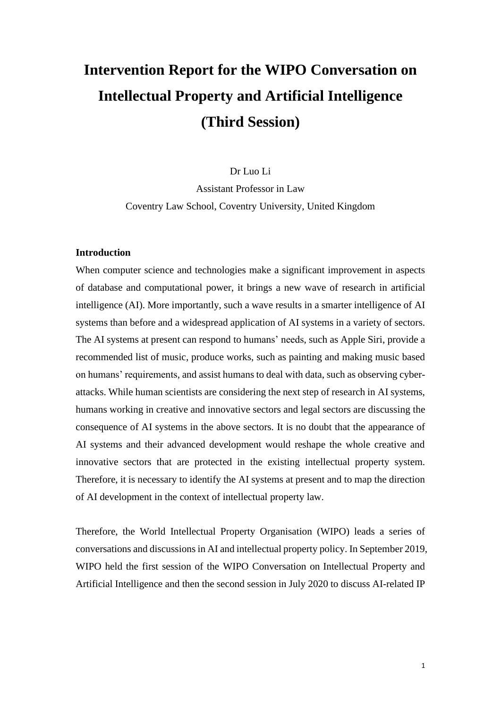# **Intervention Report for the WIPO Conversation on Intellectual Property and Artificial Intelligence (Third Session)**

Dr Luo Li

Assistant Professor in Law Coventry Law School, Coventry University, United Kingdom

# **Introduction**

When computer science and technologies make a significant improvement in aspects of database and computational power, it brings a new wave of research in artificial intelligence (AI). More importantly, such a wave results in a smarter intelligence of AI systems than before and a widespread application of AI systems in a variety of sectors. The AI systems at present can respond to humans' needs, such as Apple Siri, provide a recommended list of music, produce works, such as painting and making music based on humans' requirements, and assist humans to deal with data, such as observing cyberattacks. While human scientists are considering the next step of research in AI systems, humans working in creative and innovative sectors and legal sectors are discussing the consequence of AI systems in the above sectors. It is no doubt that the appearance of AI systems and their advanced development would reshape the whole creative and innovative sectors that are protected in the existing intellectual property system. Therefore, it is necessary to identify the AI systems at present and to map the direction of AI development in the context of intellectual property law.

Therefore, the World Intellectual Property Organisation (WIPO) leads a series of conversations and discussions in AI and intellectual property policy. In September 2019, WIPO held the first session of the WIPO Conversation on Intellectual Property and Artificial Intelligence and then the second session in July 2020 to discuss AI-related IP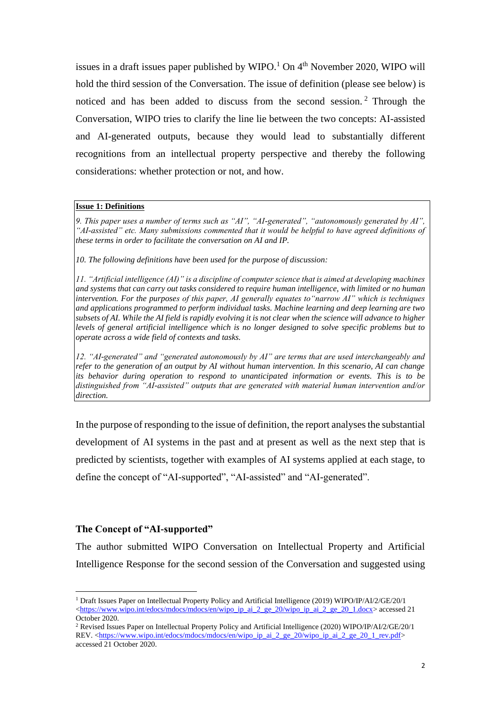issues in a draft issues paper published by WIPO.<sup>1</sup> On  $4<sup>th</sup>$  November 2020, WIPO will hold the third session of the Conversation. The issue of definition (please see below) is noticed and has been added to discuss from the second session. <sup>2</sup> Through the Conversation, WIPO tries to clarify the line lie between the two concepts: AI-assisted and AI-generated outputs, because they would lead to substantially different recognitions from an intellectual property perspective and thereby the following considerations: whether protection or not, and how.

#### **Issue 1: Definitions**

*9. This paper uses a number of terms such as "AI", "AI-generated", "autonomously generated by AI", "AI-assisted" etc. Many submissions commented that it would be helpful to have agreed definitions of these terms in order to facilitate the conversation on AI and IP.* 

*10. The following definitions have been used for the purpose of discussion:*

*11. "Artificial intelligence (AI)" is a discipline of computer science that is aimed at developing machines and systems that can carry out tasks considered to require human intelligence, with limited or no human intervention. For the purposes of this paper, AI generally equates to"narrow AI" which is techniques and applications programmed to perform individual tasks. Machine learning and deep learning are two subsets of AI. While the AI field is rapidly evolving it is not clear when the science will advance to higher levels of general artificial intelligence which is no longer designed to solve specific problems but to operate across a wide field of contexts and tasks.*

*12. "AI-generated" and "generated autonomously by AI" are terms that are used interchangeably and refer to the generation of an output by AI without human intervention. In this scenario, AI can change its behavior during operation to respond to unanticipated information or events. This is to be distinguished from "AI-assisted" outputs that are generated with material human intervention and/or direction.*

In the purpose of responding to the issue of definition, the report analyses the substantial development of AI systems in the past and at present as well as the next step that is predicted by scientists, together with examples of AI systems applied at each stage, to define the concept of "AI-supported", "AI-assisted" and "AI-generated".

#### **The Concept of "AI-supported"**

The author submitted WIPO Conversation on Intellectual Property and Artificial Intelligence Response for the second session of the Conversation and suggested using

<sup>1</sup> Draft Issues Paper on Intellectual Property Policy and Artificial Intelligence (2019) WIPO/IP/AI/2/GE/20/1  $\lt$ https://www.wipo.int/edocs/mdocs/mdocs/en/wipo\_ip\_ai\_2\_ge\_20/wipo\_ip\_ai\_2\_ge\_20\_1.docx> accessed 21 October 2020.

<sup>2</sup> Revised Issues Paper on Intellectual Property Policy and Artificial Intelligence (2020) WIPO/IP/AI/2/GE/20/1 REV. [<https://www.wipo.int/edocs/mdocs/mdocs/en/wipo\\_ip\\_ai\\_2\\_ge\\_20/wipo\\_ip\\_ai\\_2\\_ge\\_20\\_1\\_rev.pdf>](https://www.wipo.int/edocs/mdocs/mdocs/en/wipo_ip_ai_2_ge_20/wipo_ip_ai_2_ge_20_1_rev.pdf) accessed 21 October 2020.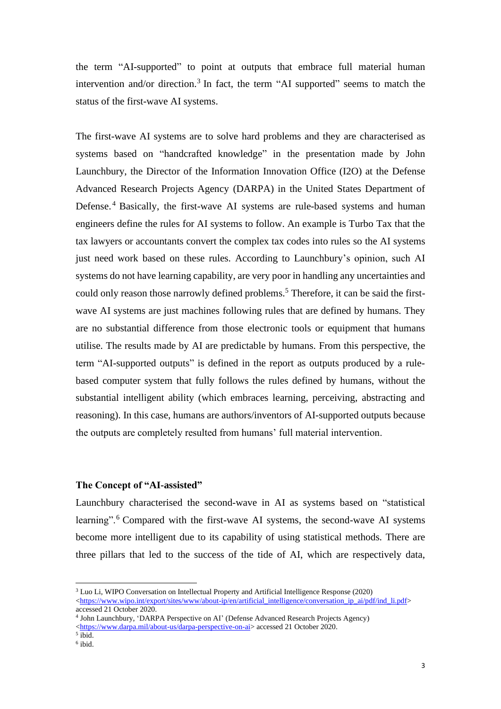the term "AI-supported" to point at outputs that embrace full material human intervention and/or direction.<sup>3</sup> In fact, the term "AI supported" seems to match the status of the first-wave AI systems.

The first-wave AI systems are to solve hard problems and they are characterised as systems based on "handcrafted knowledge" in the presentation made by John Launchbury, the Director of the Information Innovation Office (I2O) at the Defense Advanced Research Projects Agency (DARPA) in the United States Department of Defense.<sup>4</sup> Basically, the first-wave AI systems are rule-based systems and human engineers define the rules for AI systems to follow. An example is Turbo Tax that the tax lawyers or accountants convert the complex tax codes into rules so the AI systems just need work based on these rules. According to Launchbury's opinion, such AI systems do not have learning capability, are very poor in handling any uncertainties and could only reason those narrowly defined problems.<sup>5</sup> Therefore, it can be said the firstwave AI systems are just machines following rules that are defined by humans. They are no substantial difference from those electronic tools or equipment that humans utilise. The results made by AI are predictable by humans. From this perspective, the term "AI-supported outputs" is defined in the report as outputs produced by a rulebased computer system that fully follows the rules defined by humans, without the substantial intelligent ability (which embraces learning, perceiving, abstracting and reasoning). In this case, humans are authors/inventors of AI-supported outputs because the outputs are completely resulted from humans' full material intervention.

# **The Concept of "AI-assisted"**

Launchbury characterised the second-wave in AI as systems based on "statistical learning".<sup>6</sup> Compared with the first-wave AI systems, the second-wave AI systems become more intelligent due to its capability of using statistical methods. There are three pillars that led to the success of the tide of AI, which are respectively data,

<sup>3</sup> Luo Li, WIPO Conversation on Intellectual Property and Artificial Intelligence Response (2020) [<https://www.wipo.int/export/sites/www/about-ip/en/artificial\\_intelligence/conversation\\_ip\\_ai/pdf/ind\\_li.pdf>](https://www.wipo.int/export/sites/www/about-ip/en/artificial_intelligence/conversation_ip_ai/pdf/ind_li.pdf) accessed 21 October 2020.

<sup>4</sup> John Launchbury, 'DARPA Perspective on AI' (Defense Advanced Research Projects Agency) [<https://www.darpa.mil/about-us/darpa-perspective-on-ai>](https://www.darpa.mil/about-us/darpa-perspective-on-ai) accessed 21 October 2020.

<sup>5</sup> ibid.

<sup>6</sup> ibid.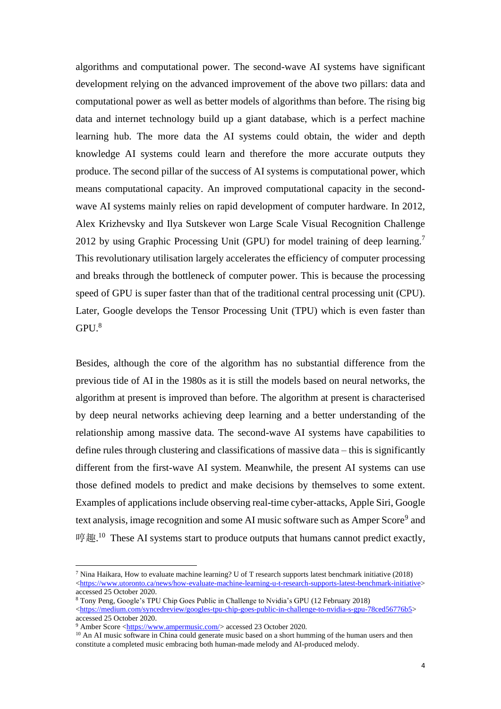algorithms and computational power. The second-wave AI systems have significant development relying on the advanced improvement of the above two pillars: data and computational power as well as better models of algorithms than before. The rising big data and internet technology build up a giant database, which is a perfect machine learning hub. The more data the AI systems could obtain, the wider and depth knowledge AI systems could learn and therefore the more accurate outputs they produce. The second pillar of the success of AI systems is computational power, which means computational capacity. An improved computational capacity in the secondwave AI systems mainly relies on rapid development of computer hardware. In 2012, Alex Krizhevsky and Ilya Sutskever won Large Scale Visual Recognition Challenge 2012 by using Graphic Processing Unit (GPU) for model training of deep learning.<sup>7</sup> This revolutionary utilisation largely accelerates the efficiency of computer processing and breaks through the bottleneck of computer power. This is because the processing speed of GPU is super faster than that of the traditional central processing unit (CPU). Later, Google develops the Tensor Processing Unit (TPU) which is even faster than  $GPU.<sup>8</sup>$ 

Besides, although the core of the algorithm has no substantial difference from the previous tide of AI in the 1980s as it is still the models based on neural networks, the algorithm at present is improved than before. The algorithm at present is characterised by deep neural networks achieving deep learning and a better understanding of the relationship among massive data. The second-wave AI systems have capabilities to define rules through clustering and classifications of massive data – this is significantly different from the first-wave AI system. Meanwhile, the present AI systems can use those defined models to predict and make decisions by themselves to some extent. Examples of applications include observing real-time cyber-attacks, Apple Siri, Google text analysis, image recognition and some AI music software such as Amper Score<sup>9</sup> and 哼趣.<sup>10</sup> These AI systems start to produce outputs that humans cannot predict exactly,

<sup>7</sup> Nina Haikara, How to evaluate machine learning? U of T research supports latest benchmark initiative (2018) [<https://www.utoronto.ca/news/how-evaluate-machine-learning-u-t-research-supports-latest-benchmark-initiative>](https://www.utoronto.ca/news/how-evaluate-machine-learning-u-t-research-supports-latest-benchmark-initiative) accessed 25 October 2020.

<sup>8</sup> Tony Peng, Google's TPU Chip Goes Public in Challenge to Nvidia's GPU (12 February 2018) [<https://medium.com/syncedreview/googles-tpu-chip-goes-public-in-challenge-to-nvidia-s-gpu-78ced56776b5>](https://medium.com/syncedreview/googles-tpu-chip-goes-public-in-challenge-to-nvidia-s-gpu-78ced56776b5) accessed 25 October 2020.

<sup>&</sup>lt;sup>9</sup> Amber Score [<https://www.ampermusic.com/>](https://www.ampermusic.com/) accessed 23 October 2020.

<sup>&</sup>lt;sup>10</sup> An AI music software in China could generate music based on a short humming of the human users and then constitute a completed music embracing both human-made melody and AI-produced melody.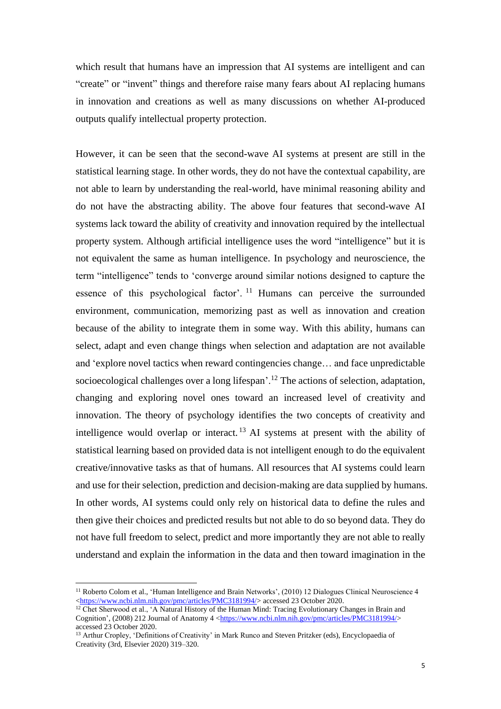which result that humans have an impression that AI systems are intelligent and can "create" or "invent" things and therefore raise many fears about AI replacing humans in innovation and creations as well as many discussions on whether AI-produced outputs qualify intellectual property protection.

However, it can be seen that the second-wave AI systems at present are still in the statistical learning stage. In other words, they do not have the contextual capability, are not able to learn by understanding the real-world, have minimal reasoning ability and do not have the abstracting ability. The above four features that second-wave AI systems lack toward the ability of creativity and innovation required by the intellectual property system. Although artificial intelligence uses the word "intelligence" but it is not equivalent the same as human intelligence. In psychology and neuroscience, the term "intelligence" tends to 'converge around similar notions designed to capture the essence of this psychological factor'. <sup>11</sup> Humans can perceive the surrounded environment, communication, memorizing past as well as innovation and creation because of the ability to integrate them in some way. With this ability, humans can select, adapt and even change things when selection and adaptation are not available and 'explore novel tactics when reward contingencies change… and face unpredictable socioecological challenges over a long lifespan'.<sup>12</sup> The actions of selection, adaptation, changing and exploring novel ones toward an increased level of creativity and innovation. The theory of psychology identifies the two concepts of creativity and intelligence would overlap or interact.<sup>13</sup> AI systems at present with the ability of statistical learning based on provided data is not intelligent enough to do the equivalent creative/innovative tasks as that of humans. All resources that AI systems could learn and use for their selection, prediction and decision-making are data supplied by humans. In other words, AI systems could only rely on historical data to define the rules and then give their choices and predicted results but not able to do so beyond data. They do not have full freedom to select, predict and more importantly they are not able to really understand and explain the information in the data and then toward imagination in the

<sup>&</sup>lt;sup>11</sup> Roberto Colom et al., 'Human Intelligence and Brain Networks', (2010) 12 Dialogues Clinical Neuroscience 4 [<https://www.ncbi.nlm.nih.gov/pmc/articles/PMC3181994/>](https://www.ncbi.nlm.nih.gov/pmc/articles/PMC3181994/) accessed 23 October 2020.

<sup>&</sup>lt;sup>12</sup> Chet Sherwood et al., 'A Natural History of the Human Mind: Tracing Evolutionary Changes in Brain and Cognition', (2008) 212 Journal of Anatomy 4 [<https://www.ncbi.nlm.nih.gov/pmc/articles/PMC3181994/>](https://www.ncbi.nlm.nih.gov/pmc/articles/PMC3181994/) accessed 23 October 2020.

<sup>13</sup> Arthur Cropley, 'Definitions of Creativity' in Mark Runco and Steven Pritzker (eds), Encyclopaedia of Creativity (3rd, Elsevier 2020) 319–320.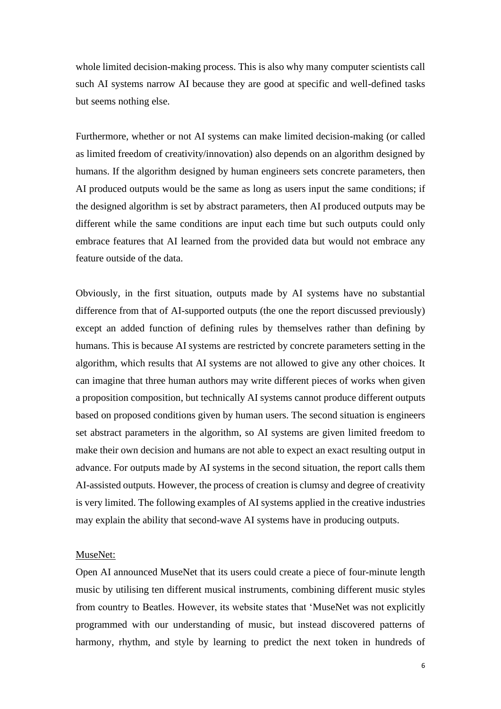whole limited decision-making process. This is also why many computer scientists call such AI systems narrow AI because they are good at specific and well-defined tasks but seems nothing else.

Furthermore, whether or not AI systems can make limited decision-making (or called as limited freedom of creativity/innovation) also depends on an algorithm designed by humans. If the algorithm designed by human engineers sets concrete parameters, then AI produced outputs would be the same as long as users input the same conditions; if the designed algorithm is set by abstract parameters, then AI produced outputs may be different while the same conditions are input each time but such outputs could only embrace features that AI learned from the provided data but would not embrace any feature outside of the data.

Obviously, in the first situation, outputs made by AI systems have no substantial difference from that of AI-supported outputs (the one the report discussed previously) except an added function of defining rules by themselves rather than defining by humans. This is because AI systems are restricted by concrete parameters setting in the algorithm, which results that AI systems are not allowed to give any other choices. It can imagine that three human authors may write different pieces of works when given a proposition composition, but technically AI systems cannot produce different outputs based on proposed conditions given by human users. The second situation is engineers set abstract parameters in the algorithm, so AI systems are given limited freedom to make their own decision and humans are not able to expect an exact resulting output in advance. For outputs made by AI systems in the second situation, the report calls them AI-assisted outputs. However, the process of creation is clumsy and degree of creativity is very limited. The following examples of AI systems applied in the creative industries may explain the ability that second-wave AI systems have in producing outputs.

#### MuseNet:

Open AI announced MuseNet that its users could create a piece of four-minute length music by utilising ten different musical instruments, combining different music styles from country to Beatles. However, its website states that 'MuseNet was not explicitly programmed with our understanding of music, but instead discovered patterns of harmony, rhythm, and style by learning to predict the next token in hundreds of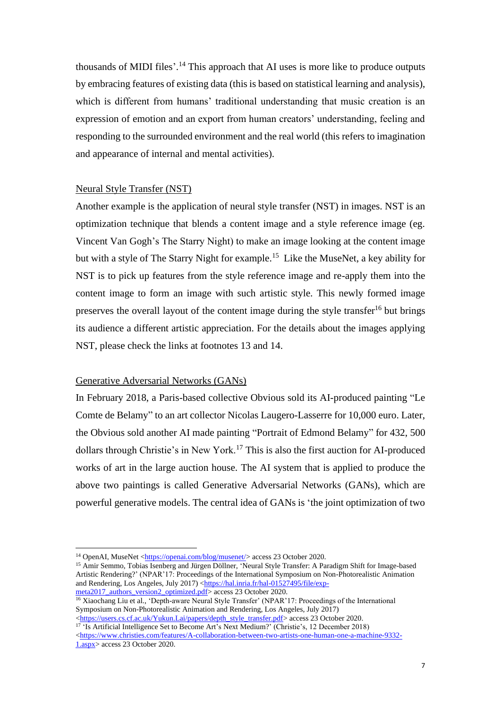thousands of MIDI files'. <sup>14</sup> This approach that AI uses is more like to produce outputs by embracing features of existing data (this is based on statistical learning and analysis), which is different from humans' traditional understanding that music creation is an expression of emotion and an export from human creators' understanding, feeling and responding to the surrounded environment and the real world (this refers to imagination and appearance of internal and mental activities).

## Neural Style Transfer (NST)

Another example is the application of neural style transfer (NST) in images. NST is an optimization technique that blends a content image and a style reference image (eg. Vincent Van Gogh's The Starry Night) to make an image looking at the content image but with a style of The Starry Night for example.<sup>15</sup> Like the MuseNet, a key ability for NST is to pick up features from the style reference image and re-apply them into the content image to form an image with such artistic style. This newly formed image preserves the overall layout of the content image during the style transfer<sup>16</sup> but brings its audience a different artistic appreciation. For the details about the images applying NST, please check the links at footnotes 13 and 14.

#### Generative Adversarial Networks (GANs)

In February 2018, a Paris-based collective Obvious sold its AI-produced painting "Le Comte de Belamy" to an art collector Nicolas Laugero-Lasserre for 10,000 euro. Later, the Obvious sold another AI made painting "Portrait of Edmond Belamy" for 432, 500 dollars through Christie's in New York.<sup>17</sup> This is also the first auction for AI-produced works of art in the large auction house. The AI system that is applied to produce the above two paintings is called Generative Adversarial Networks (GANs), which are powerful generative models. The central idea of GANs is 'the joint optimization of two

[1.aspx>](https://www.christies.com/features/A-collaboration-between-two-artists-one-human-one-a-machine-9332-1.aspx) access 23 October 2020.

<sup>&</sup>lt;sup>14</sup> OpenAI, MuseNet [<https://openai.com/blog/musenet/>](https://openai.com/blog/musenet/) access 23 October 2020.

<sup>15</sup> Amir Semmo, Tobias Isenberg and Jürgen Döllner, 'Neural Style Transfer: A Paradigm Shift for Image-based Artistic Rendering?' (NPAR'17: Proceedings of the International Symposium on Non-Photorealistic Animation and Rendering, Los Angeles, July 2017) [<https://hal.inria.fr/hal-01527495/file/exp-](https://hal.inria.fr/hal-01527495/file/exp-meta2017_authors_version2_optimized.pdf)

[meta2017\\_authors\\_version2\\_optimized.pdf>](https://hal.inria.fr/hal-01527495/file/exp-meta2017_authors_version2_optimized.pdf) access 23 October 2020. <sup>16</sup> Xiaochang Liu et al., 'Depth-aware Neural Style Transfer' (NPAR'17: Proceedings of the International Symposium on Non-Photorealistic Animation and Rendering, Los Angeles, July 2017)

[<sup>&</sup>lt;https://users.cs.cf.ac.uk/Yukun.Lai/papers/depth\\_style\\_transfer.pdf>](https://users.cs.cf.ac.uk/Yukun.Lai/papers/depth_style_transfer.pdf) access 23 October 2020. <sup>17</sup> 'Is Artificial Intelligence Set to Become Art's Next Medium?' (Christie's, 12 December 2018) [<https://www.christies.com/features/A-collaboration-between-two-artists-one-human-one-a-machine-9332-](https://www.christies.com/features/A-collaboration-between-two-artists-one-human-one-a-machine-9332-1.aspx)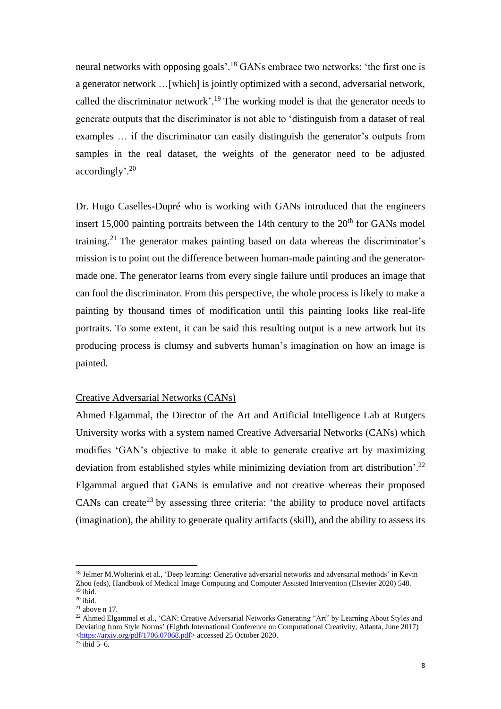neural networks with opposing goals'.<sup>18</sup> GANs embrace two networks: 'the first one is a generator network …[which] is jointly optimized with a second, adversarial network, called the discriminator network'.<sup>19</sup> The working model is that the generator needs to generate outputs that the discriminator is not able to 'distinguish from a dataset of real examples … if the discriminator can easily distinguish the generator's outputs from samples in the real dataset, the weights of the generator need to be adjusted accordingly'. 20

Dr. Hugo Caselles-Dupré who is working with GANs introduced that the engineers insert 15,000 painting portraits between the 14th century to the  $20<sup>th</sup>$  for GANs model training.<sup>21</sup> The generator makes painting based on data whereas the discriminator's mission is to point out the difference between human-made painting and the generatormade one. The generator learns from every single failure until produces an image that can fool the discriminator. From this perspective, the whole process is likely to make a painting by thousand times of modification until this painting looks like real-life portraits. To some extent, it can be said this resulting output is a new artwork but its producing process is clumsy and subverts human's imagination on how an image is painted.

## Creative Adversarial Networks (CANs)

Ahmed Elgammal, the Director of the Art and Artificial Intelligence Lab at Rutgers University works with a system named Creative Adversarial Networks (CANs) which modifies 'GAN's objective to make it able to generate creative art by maximizing deviation from established styles while minimizing deviation from art distribution'.<sup>22</sup> Elgammal argued that GANs is emulative and not creative whereas their proposed CANs can create<sup>23</sup> by assessing three criteria: 'the ability to produce novel artifacts (imagination), the ability to generate quality artifacts (skill), and the ability to assess its

<sup>&</sup>lt;sup>18</sup> Jelmer M.Wolterink et al., 'Deep learning: Generative adversarial networks and adversarial methods' in Kevin Zhou (eds), Handbook of Medical Image Computing and Computer Assisted Intervention (Elsevier 2020) 548.  $19$  ibid.

 $20$  ibid.

 $21$  above n 17.

<sup>&</sup>lt;sup>22</sup> Ahmed Elgammal et al., 'CAN: Creative Adversarial Networks Generating "Art" by Learning About Styles and Deviating from Style Norms' (Eighth International Conference on Computational Creativity, Atlanta, June 2017) [<https://arxiv.org/pdf/1706.07068.pdf>](https://arxiv.org/pdf/1706.07068.pdf) accessed 25 October 2020.

 $23$  ibid 5–6.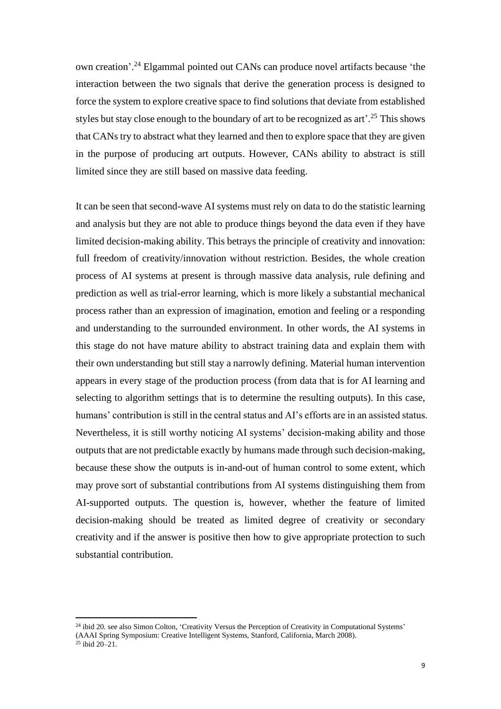own creation'.<sup>24</sup> Elgammal pointed out CANs can produce novel artifacts because 'the interaction between the two signals that derive the generation process is designed to force the system to explore creative space to find solutions that deviate from established styles but stay close enough to the boundary of art to be recognized as art'. <sup>25</sup> This shows that CANs try to abstract what they learned and then to explore space that they are given in the purpose of producing art outputs. However, CANs ability to abstract is still limited since they are still based on massive data feeding.

It can be seen that second-wave AI systems must rely on data to do the statistic learning and analysis but they are not able to produce things beyond the data even if they have limited decision-making ability. This betrays the principle of creativity and innovation: full freedom of creativity/innovation without restriction. Besides, the whole creation process of AI systems at present is through massive data analysis, rule defining and prediction as well as trial-error learning, which is more likely a substantial mechanical process rather than an expression of imagination, emotion and feeling or a responding and understanding to the surrounded environment. In other words, the AI systems in this stage do not have mature ability to abstract training data and explain them with their own understanding but still stay a narrowly defining. Material human intervention appears in every stage of the production process (from data that is for AI learning and selecting to algorithm settings that is to determine the resulting outputs). In this case, humans' contribution is still in the central status and AI's efforts are in an assisted status. Nevertheless, it is still worthy noticing AI systems' decision-making ability and those outputs that are not predictable exactly by humans made through such decision-making, because these show the outputs is in-and-out of human control to some extent, which may prove sort of substantial contributions from AI systems distinguishing them from AI-supported outputs. The question is, however, whether the feature of limited decision-making should be treated as limited degree of creativity or secondary creativity and if the answer is positive then how to give appropriate protection to such substantial contribution.

<sup>&</sup>lt;sup>24</sup> ibid 20. see also Simon Colton, 'Creativity Versus the Perception of Creativity in Computational Systems' (AAAI Spring Symposium: Creative Intelligent Systems, Stanford, California, March 2008).  $25$  ibid 20–21.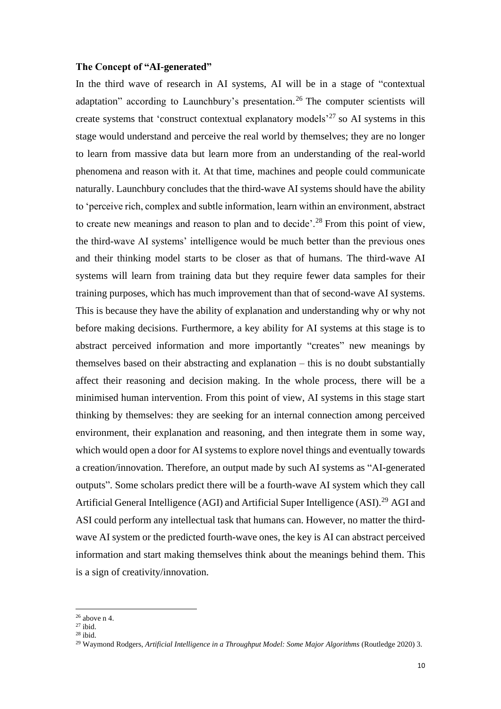#### **The Concept of "AI-generated"**

In the third wave of research in AI systems, AI will be in a stage of "contextual adaptation" according to Launchbury's presentation.<sup>26</sup> The computer scientists will create systems that 'construct contextual explanatory models'<sup>27</sup> so AI systems in this stage would understand and perceive the real world by themselves; they are no longer to learn from massive data but learn more from an understanding of the real-world phenomena and reason with it. At that time, machines and people could communicate naturally. Launchbury concludes that the third-wave AI systems should have the ability to 'perceive rich, complex and subtle information, learn within an environment, abstract to create new meanings and reason to plan and to decide'.<sup>28</sup> From this point of view, the third-wave AI systems' intelligence would be much better than the previous ones and their thinking model starts to be closer as that of humans. The third-wave AI systems will learn from training data but they require fewer data samples for their training purposes, which has much improvement than that of second-wave AI systems. This is because they have the ability of explanation and understanding why or why not before making decisions. Furthermore, a key ability for AI systems at this stage is to abstract perceived information and more importantly "creates" new meanings by themselves based on their abstracting and explanation – this is no doubt substantially affect their reasoning and decision making. In the whole process, there will be a minimised human intervention. From this point of view, AI systems in this stage start thinking by themselves: they are seeking for an internal connection among perceived environment, their explanation and reasoning, and then integrate them in some way, which would open a door for AI systems to explore novel things and eventually towards a creation/innovation. Therefore, an output made by such AI systems as "AI-generated outputs". Some scholars predict there will be a fourth-wave AI system which they call Artificial General Intelligence (AGI) and Artificial Super Intelligence (ASI).<sup>29</sup> AGI and ASI could perform any intellectual task that humans can. However, no matter the thirdwave AI system or the predicted fourth-wave ones, the key is AI can abstract perceived information and start making themselves think about the meanings behind them. This is a sign of creativity/innovation.

 $26$  above n 4.

 $27$  ibid.

<sup>28</sup> ibid.

<sup>&</sup>lt;sup>29</sup> Waymond Rodgers, Artificial Intelligence in a Throughput Model: Some Major Algorithms (Routledge 2020) 3.